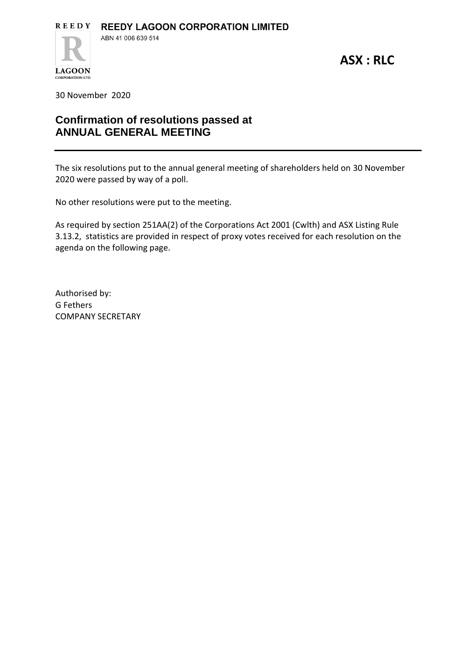**ASX : RLC**

30 November 2020

**LAGOON CORPORATION LTD** 

## **Confirmation of resolutions passed at ANNUAL GENERAL MEETING**

The six resolutions put to the annual general meeting of shareholders held on 30 November 2020 were passed by way of a poll.

No other resolutions were put to the meeting.

As required by section 251AA(2) of the Corporations Act 2001 (Cwlth) and ASX Listing Rule 3.13.2, statistics are provided in respect of proxy votes received for each resolution on the agenda on the following page.

Authorised by: G Fethers COMPANY SECRETARY